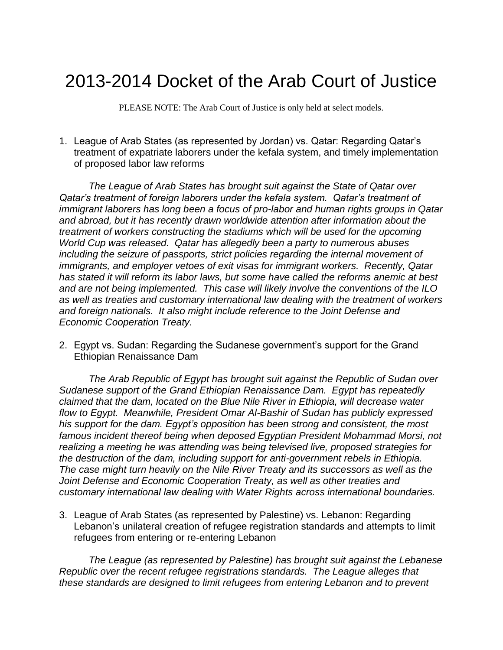## 2013-2014 Docket of the Arab Court of Justice

PLEASE NOTE: The Arab Court of Justice is only held at select models.

1. League of Arab States (as represented by Jordan) vs. Qatar: Regarding Qatar's treatment of expatriate laborers under the kefala system, and timely implementation of proposed labor law reforms

*The League of Arab States has brought suit against the State of Qatar over Qatar's treatment of foreign laborers under the kefala system. Qatar's treatment of immigrant laborers has long been a focus of pro-labor and human rights groups in Qatar and abroad, but it has recently drawn worldwide attention after information about the treatment of workers constructing the stadiums which will be used for the upcoming World Cup was released. Qatar has allegedly been a party to numerous abuses including the seizure of passports, strict policies regarding the internal movement of immigrants, and employer vetoes of exit visas for immigrant workers. Recently, Qatar has stated it will reform its labor laws, but some have called the reforms anemic at best and are not being implemented. This case will likely involve the conventions of the ILO as well as treaties and customary international law dealing with the treatment of workers and foreign nationals. It also might include reference to the Joint Defense and Economic Cooperation Treaty.*

2. Egypt vs. Sudan: Regarding the Sudanese government's support for the Grand Ethiopian Renaissance Dam

*The Arab Republic of Egypt has brought suit against the Republic of Sudan over Sudanese support of the Grand Ethiopian Renaissance Dam. Egypt has repeatedly claimed that the dam, located on the Blue Nile River in Ethiopia, will decrease water flow to Egypt. Meanwhile, President Omar Al-Bashir of Sudan has publicly expressed his support for the dam. Egypt's opposition has been strong and consistent, the most famous incident thereof being when deposed Egyptian President Mohammad Morsi, not realizing a meeting he was attending was being televised live, proposed strategies for the destruction of the dam, including support for anti-government rebels in Ethiopia. The case might turn heavily on the Nile River Treaty and its successors as well as the Joint Defense and Economic Cooperation Treaty, as well as other treaties and customary international law dealing with Water Rights across international boundaries.*

3. League of Arab States (as represented by Palestine) vs. Lebanon: Regarding Lebanon's unilateral creation of refugee registration standards and attempts to limit refugees from entering or re-entering Lebanon

*The League (as represented by Palestine) has brought suit against the Lebanese Republic over the recent refugee registrations standards. The League alleges that these standards are designed to limit refugees from entering Lebanon and to prevent*